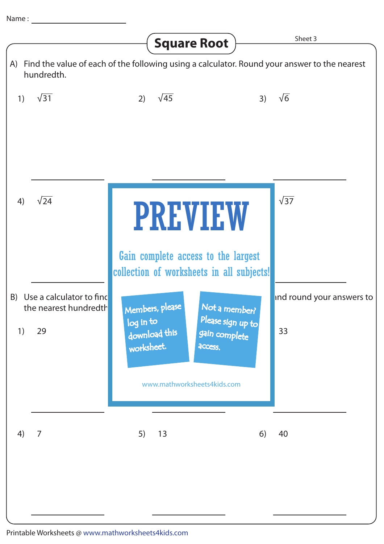